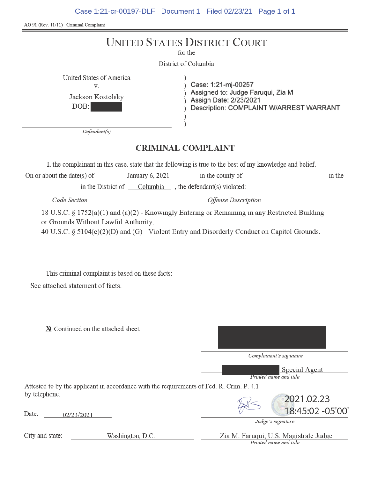Case 1:21-cr-00197-DLF Document 1 Filed 02/23/21 Page 1 of 1

AO 91 (Rev. 11/11) Criminal Complaint

| <b>UNITED STATES DISTRICT COURT</b><br>for the<br>District of Columbia |                                                                                                                               |
|------------------------------------------------------------------------|-------------------------------------------------------------------------------------------------------------------------------|
| United States of America<br>V.<br>Jackson Kostolsky<br>DOB:            | Case: 1:21-mj-00257<br>Assigned to: Judge Faruqui, Zia M<br>Assign Date: 2/23/2021<br>Description: COMPLAINT W/ARREST WARRANT |
| Defendant(s)<br>IMINAL COMPI                                           |                                                                                                                               |

I, the complainant in this case, state that the following is true to the best of my knowledge and belief.

On or about the date(s) of January  $6, 2021$  in the county of in the in the District of <u>Columbia</u>, the defendant(s) violated:

Code Section

Offense Description

18 U.S.C. § 1752(a)(1) and (a)(2) - Knowingly Entering or Remaining in any Restricted Building or Grounds Without Lawful Authority, 40 U.S.C. § 5104(e)(2)(D) and (G) - Violent Entry and Disorderly Conduct on Capitol Grounds.

This criminal complaint is based on these facts:

See attached statement of facts.

N Continued on the attached sheet.

Complainant's signature

Special Agent Printed name and title

2021.02.23

Attested to by the applicant in accordance with the requirements of Fed. R. Crim. P. 4.1 by telephone.

Date: 02/23/2021

City and state:

18:45:02 -05'00' Judge's signature

Washington, D.C.

Zia M. Faruqui, U.S. Magistrate Judge Printed name and title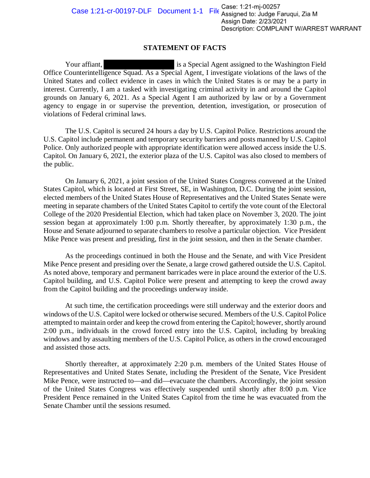Case 1:21-cr-00197-DLF Document 1-1 File Case: 1:21-mj-00257<br>
Resigned to: Judge Faruqui, Zia M Assign Date: 2/23/2021 Description: COMPLAINT W/ARREST WARRANT

## **STATEMENT OF FACTS**

Your affiant, is a Special Agent assigned to the Washington Field Office Counterintelligence Squad. As a Special Agent, I investigate violations of the laws of the United States and collect evidence in cases in which the United States is or may be a party in interest. Currently, I am a tasked with investigating criminal activity in and around the Capitol grounds on January 6, 2021. As a Special Agent I am authorized by law or by a Government agency to engage in or supervise the prevention, detention, investigation, or prosecution of violations of Federal criminal laws.

The U.S. Capitol is secured 24 hours a day by U.S. Capitol Police. Restrictions around the U.S. Capitol include permanent and temporary security barriers and posts manned by U.S. Capitol Police. Only authorized people with appropriate identification were allowed access inside the U.S. Capitol. On January 6, 2021, the exterior plaza of the U.S. Capitol was also closed to members of the public.

On January 6, 2021, a joint session of the United States Congress convened at the United States Capitol, which is located at First Street, SE, in Washington, D.C. During the joint session, elected members of the United States House of Representatives and the United States Senate were meeting in separate chambers of the United States Capitol to certify the vote count of the Electoral College of the 2020 Presidential Election, which had taken place on November 3, 2020. The joint session began at approximately 1:00 p.m. Shortly thereafter, by approximately 1:30 p.m., the House and Senate adjourned to separate chambers to resolve a particular objection. Vice President Mike Pence was present and presiding, first in the joint session, and then in the Senate chamber.

As the proceedings continued in both the House and the Senate, and with Vice President Mike Pence present and presiding over the Senate, a large crowd gathered outside the U.S. Capitol. As noted above, temporary and permanent barricades were in place around the exterior of the U.S. Capitol building, and U.S. Capitol Police were present and attempting to keep the crowd away from the Capitol building and the proceedings underway inside.

At such time, the certification proceedings were still underway and the exterior doors and windows of the U.S. Capitol were locked or otherwise secured. Members of the U.S. Capitol Police attempted to maintain order and keep the crowd from entering the Capitol; however, shortly around 2:00 p.m., individuals in the crowd forced entry into the U.S. Capitol, including by breaking windows and by assaulting members of the U.S. Capitol Police, as others in the crowd encouraged and assisted those acts.

Shortly thereafter, at approximately 2:20 p.m. members of the United States House of Representatives and United States Senate, including the President of the Senate, Vice President Mike Pence, were instructed to—and did—evacuate the chambers. Accordingly, the joint session of the United States Congress was effectively suspended until shortly after 8:00 p.m. Vice President Pence remained in the United States Capitol from the time he was evacuated from the Senate Chamber until the sessions resumed.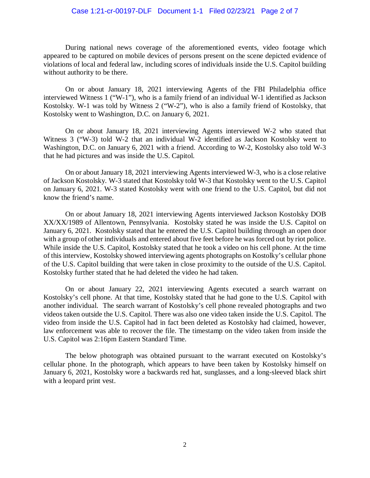## Case 1:21-cr-00197-DLF Document 1-1 Filed 02/23/21 Page 2 of 7

During national news coverage of the aforementioned events, video footage which appeared to be captured on mobile devices of persons present on the scene depicted evidence of violations of local and federal law, including scores of individuals inside the U.S. Capitol building without authority to be there.

On or about January 18, 2021 interviewing Agents of the FBI Philadelphia office interviewed Witness 1 ("W-1"), who is a family friend of an individual W-1 identified as Jackson Kostolsky. W-1 was told by Witness 2 ("W-2"), who is also a family friend of Kostolsky, that Kostolsky went to Washington, D.C. on January 6, 2021.

On or about January 18, 2021 interviewing Agents interviewed W-2 who stated that Witness 3 ("W-3) told W-2 that an individual W-2 identified as Jackson Kostolsky went to Washington, D.C. on January 6, 2021 with a friend. According to W-2, Kostolsky also told W-3 that he had pictures and was inside the U.S. Capitol.

On or about January 18, 2021 interviewing Agents interviewed W-3, who is a close relative of Jackson Kostolsky. W-3 stated that Kostolsky told W-3 that Kostolsky went to the U.S. Capitol on January 6, 2021. W-3 stated Kostolsky went with one friend to the U.S. Capitol, but did not know the friend's name.

On or about January 18, 2021 interviewing Agents interviewed Jackson Kostolsky DOB XX/XX/1989 of Allentown, Pennsylvania. Kostolsky stated he was inside the U.S. Capitol on January 6, 2021. Kostolsky stated that he entered the U.S. Capitol building through an open door with a group of other individuals and entered about five feet before he was forced out by riot police. While inside the U.S. Capitol, Kostolsky stated that he took a video on his cell phone. At the time of this interview, Kostolsky showed interviewing agents photographs on Kostolky's cellular phone of the U.S. Capitol building that were taken in close proximity to the outside of the U.S. Capitol. Kostolsky further stated that he had deleted the video he had taken.

On or about January 22, 2021 interviewing Agents executed a search warrant on Kostolsky's cell phone. At that time, Kostolsky stated that he had gone to the U.S. Capitol with another individual. The search warrant of Kostolsky's cell phone revealed photographs and two videos taken outside the U.S. Capitol. There was also one video taken inside the U.S. Capitol. The video from inside the U.S. Capitol had in fact been deleted as Kostolsky had claimed, however, law enforcement was able to recover the file. The timestamp on the video taken from inside the U.S. Capitol was 2:16pm Eastern Standard Time.

The below photograph was obtained pursuant to the warrant executed on Kostolsky's cellular phone. In the photograph, which appears to have been taken by Kostolsky himself on January 6, 2021, Kostolsky wore a backwards red hat, sunglasses, and a long-sleeved black shirt with a leopard print vest.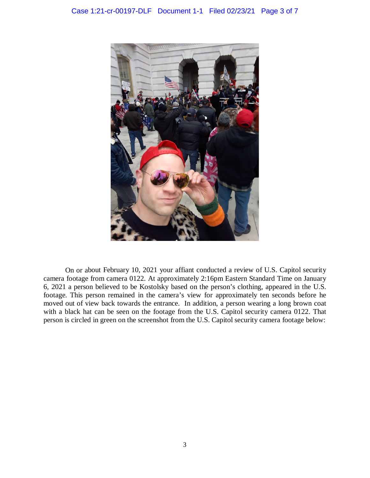

On or about February 10, 2021 your affiant conducted a review of U.S. Capitol security camera footage from camera 0122. At approximately 2:16pm Eastern Standard Time on January 6, 2021 a person believed to be Kostolsky based on the person's clothing, appeared in the U.S. footage. This person remained in the camera's view for approximately ten seconds before he moved out of view back towards the entrance. In addition, a person wearing a long brown coat with a black hat can be seen on the footage from the U.S. Capitol security camera 0122. That person is circled in green on the screenshot from the U.S. Capitol security camera footage below: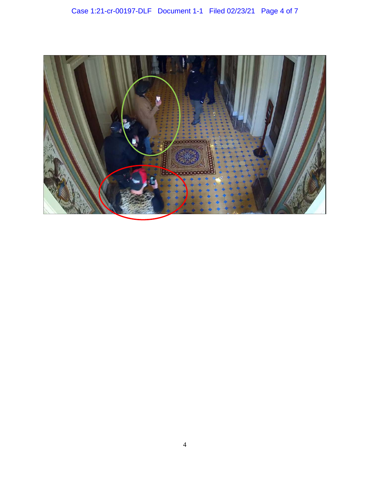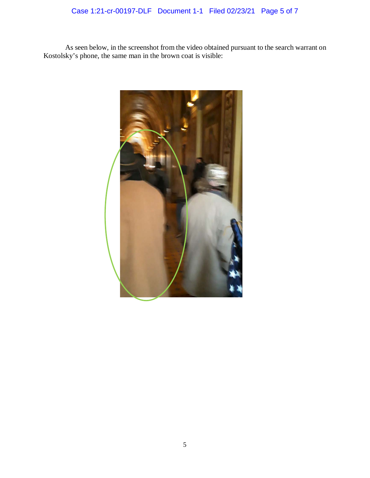## Case 1:21-cr-00197-DLF Document 1-1 Filed 02/23/21 Page 5 of 7

As seen below, in the screenshot from the video obtained pursuant to the search warrant on Kostolsky's phone, the same man in the brown coat is visible:

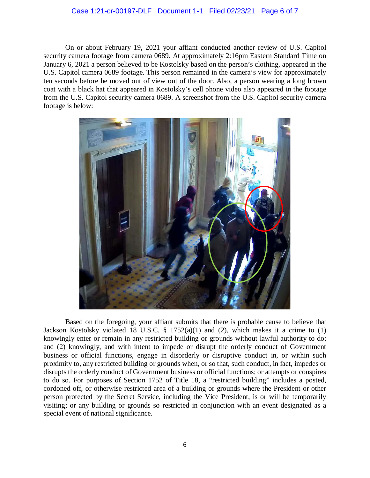## Case 1:21-cr-00197-DLF Document 1-1 Filed 02/23/21 Page 6 of 7

On or about February 19, 2021 your affiant conducted another review of U.S. Capitol security camera footage from camera 0689. At approximately 2:16pm Eastern Standard Time on January 6, 2021 a person believed to be Kostolsky based on the person's clothing, appeared in the U.S. Capitol camera 0689 footage. This person remained in the camera's view for approximately ten seconds before he moved out of view out of the door. Also, a person wearing a long brown coat with a black hat that appeared in Kostolsky's cell phone video also appeared in the footage from the U.S. Capitol security camera 0689. A screenshot from the U.S. Capitol security camera footage is below:



Based on the foregoing, your affiant submits that there is probable cause to believe that Jackson Kostolsky violated 18 U.S.C. § 1752(a)(1) and (2), which makes it a crime to (1) knowingly enter or remain in any restricted building or grounds without lawful authority to do; and (2) knowingly, and with intent to impede or disrupt the orderly conduct of Government business or official functions, engage in disorderly or disruptive conduct in, or within such proximity to, any restricted building or grounds when, or so that, such conduct, in fact, impedes or disrupts the orderly conduct of Government business or official functions; or attempts or conspires to do so. For purposes of Section 1752 of Title 18, a "restricted building" includes a posted, cordoned off, or otherwise restricted area of a building or grounds where the President or other person protected by the Secret Service, including the Vice President, is or will be temporarily visiting; or any building or grounds so restricted in conjunction with an event designated as a special event of national significance.